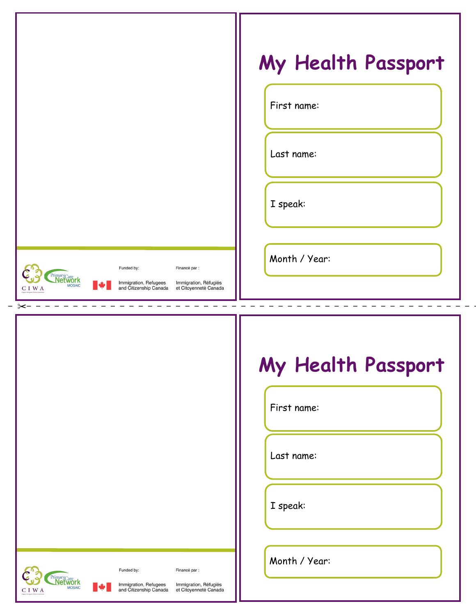|                                                                                                                                                                                                                                                                                              |                                                                                                                               | My Health Passport |  |
|----------------------------------------------------------------------------------------------------------------------------------------------------------------------------------------------------------------------------------------------------------------------------------------------|-------------------------------------------------------------------------------------------------------------------------------|--------------------|--|
|                                                                                                                                                                                                                                                                                              | First name:                                                                                                                   |                    |  |
|                                                                                                                                                                                                                                                                                              | Last name:                                                                                                                    |                    |  |
|                                                                                                                                                                                                                                                                                              | I speak:                                                                                                                      |                    |  |
| Funded by:<br><b>Cargo ChimaryCargonal Construction Construction Construction Construction Construction Construction Construction Construction Construction Construction Construction Construction Construction Construction Construction Cons</b><br>$\blacktriangleright$<br>$\rm C~I~W~A$ | Month / Year:<br>Financé par :<br>Immigration, Refugees Mmmigration, Réfugiés<br>and Citizenship Canada et Citoyenneté Canada |                    |  |
|                                                                                                                                                                                                                                                                                              |                                                                                                                               |                    |  |
|                                                                                                                                                                                                                                                                                              |                                                                                                                               | My Health Passport |  |
|                                                                                                                                                                                                                                                                                              | First name:                                                                                                                   |                    |  |
|                                                                                                                                                                                                                                                                                              | Last name:                                                                                                                    |                    |  |
|                                                                                                                                                                                                                                                                                              | I speak:                                                                                                                      |                    |  |
| <b>CONSTRUCTION</b><br>Funded by:                                                                                                                                                                                                                                                            | Month / Year:<br>Financé par :                                                                                                |                    |  |
| Immigration, Refugees<br>and Citizenship Canada<br>$\blacktriangleright$<br>C I W A                                                                                                                                                                                                          | Immigration, Réfugiés<br>et Citoyenneté Canada                                                                                |                    |  |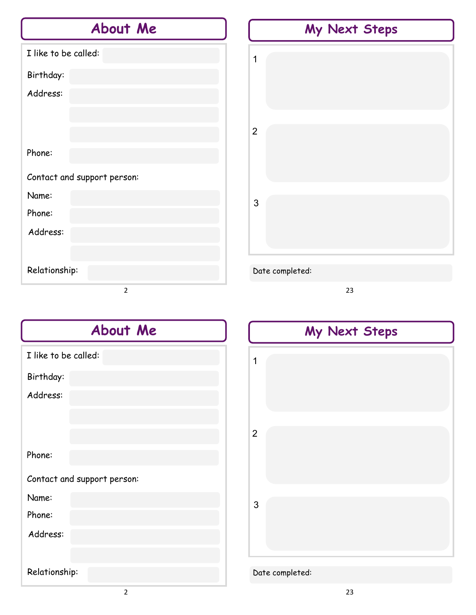# **About Me**

| I like to be called:        |
|-----------------------------|
| Birthday:                   |
| Address:                    |
|                             |
|                             |
| Phone:                      |
| Contact and support person: |
| Name:                       |
| Phone:                      |
| Address:                    |
|                             |
| Relationship:               |
| 2                           |



23

| <b>About Me</b>             |  |  |
|-----------------------------|--|--|
| I like to be called:        |  |  |
| Birthday:                   |  |  |
| Address:                    |  |  |
|                             |  |  |
|                             |  |  |
| Phone:                      |  |  |
| Contact and support person: |  |  |
| Name:                       |  |  |
| Phone:                      |  |  |
| Address:                    |  |  |
|                             |  |  |
| Relationship:               |  |  |

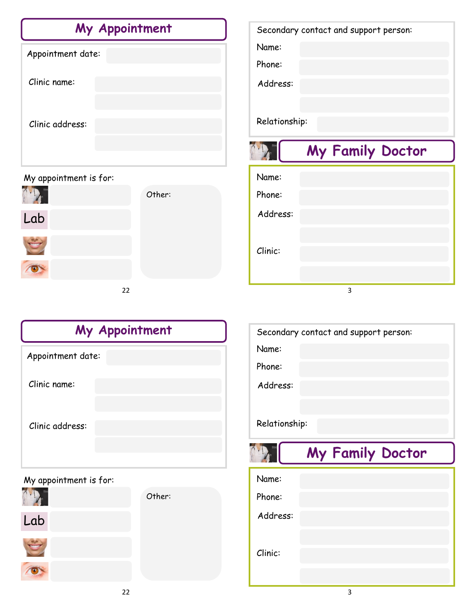| My Appointment    |  |  |
|-------------------|--|--|
| Appointment date: |  |  |
| Clinic name:      |  |  |
| Clinic address:   |  |  |
|                   |  |  |

## My appointment is for:



| Name:         |                  |
|---------------|------------------|
| Phone:        |                  |
| Address:      |                  |
|               |                  |
| Relationship: |                  |
|               | My Family Doctor |
|               |                  |
| Name:         |                  |
| Phone:        |                  |
| Address:      |                  |
|               |                  |
| Clinic:       |                  |
|               |                  |

Secondary contact and support person:

| My Appointment         |  |  |
|------------------------|--|--|
| Appointment date:      |  |  |
| Clinic name:           |  |  |
| Clinic address:        |  |  |
| My appointment is for: |  |  |



| Name:         |                  |
|---------------|------------------|
| Phone:        |                  |
| Address:      |                  |
|               |                  |
| Relationship: |                  |
|               |                  |
|               | My Family Doctor |
| Name:         |                  |
| Phone:        |                  |
| Address:      |                  |
|               |                  |

Secondary contact and support person: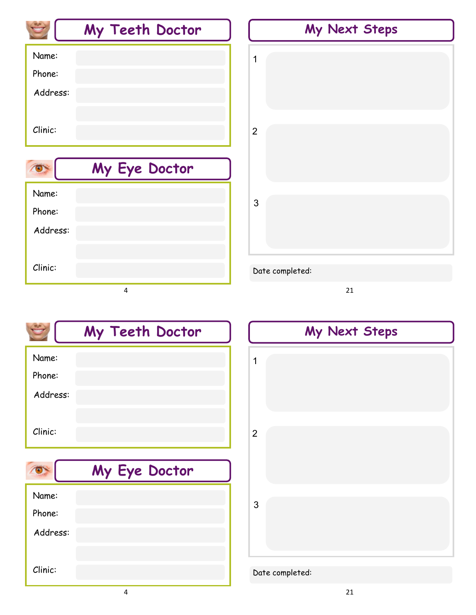|          | My Teeth Doctor | My Next Steps   |
|----------|-----------------|-----------------|
| Name:    |                 | 1               |
| Phone:   |                 |                 |
| Address: |                 |                 |
|          |                 |                 |
| Clinic:  |                 | $\overline{2}$  |
|          |                 |                 |
|          | My Eye Doctor   |                 |
| Name:    |                 |                 |
| Phone:   |                 | 3               |
| Address: |                 |                 |
|          |                 |                 |
| Clinic:  |                 | Date completed: |
|          | 4               | 21              |

|          | My Teeth Doctor |
|----------|-----------------|
| Name:    |                 |
| Phone:   |                 |
| Address: |                 |
|          |                 |
| Clinic:  |                 |
|          |                 |
|          | My Eye Doctor   |
| Name:    |                 |
| Phone:   |                 |
| Address: |                 |
|          |                 |



## Date completed:

Clinic: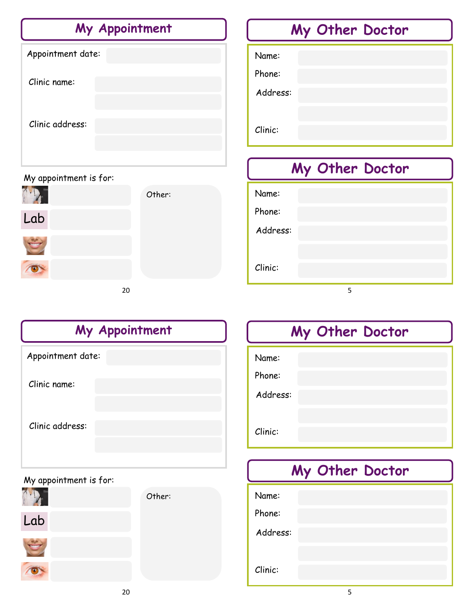| My Appointment         |        | My Other Doctor |
|------------------------|--------|-----------------|
| Appointment date:      |        | Name:           |
| Clinic name:           |        | Phone:          |
|                        |        | Address:        |
| Clinic address:        |        | Clinic:         |
|                        |        | My Other Doctor |
| My appointment is for: |        |                 |
|                        | Other: | Name:           |
| Lab                    |        | Phone:          |
|                        |        | Address:        |

### 20

| My Appointment         |         |  |
|------------------------|---------|--|
| Appointment date:      |         |  |
| Clinic name:           |         |  |
| Clinic address:        |         |  |
| My appointment is for: |         |  |
|                        | <b></b> |  |



70





O



# **My Other Doctor**

5

Name:

Clinic:

Phone:

Address:

Clinic:

# **My Other Doctor**

| Name:    |  |  |
|----------|--|--|
| Phone:   |  |  |
| Address: |  |  |
|          |  |  |
| Clinic:  |  |  |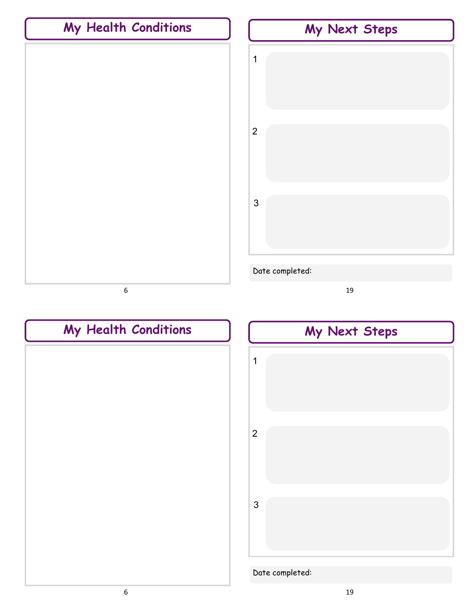



# **My Health Conditions**

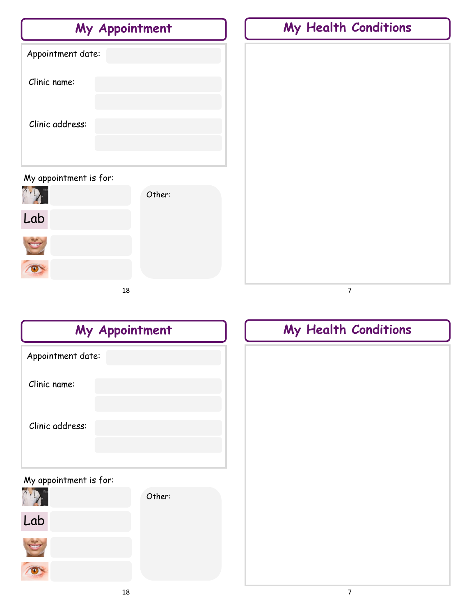| My Appointment         |        | My Health Conditions |
|------------------------|--------|----------------------|
| Appointment date:      |        |                      |
| Clinic name:           |        |                      |
|                        |        |                      |
| Clinic address:        |        |                      |
|                        |        |                      |
| My appointment is for: | Other: |                      |
|                        |        |                      |
| Lab                    |        |                      |
|                        |        |                      |
| $\bullet$              |        |                      |
| 18                     |        | 7                    |

| My Appointment         |        |  |  |
|------------------------|--------|--|--|
| Appointment date:      |        |  |  |
| Clinic name:           |        |  |  |
| Clinic address:        |        |  |  |
| My appointment is for: |        |  |  |
|                        | Other: |  |  |
| Lab                    |        |  |  |

|  | My Health Conditions |  |
|--|----------------------|--|
|  |                      |  |
|  |                      |  |
|  |                      |  |
|  |                      |  |
|  |                      |  |
|  |                      |  |
|  |                      |  |
|  |                      |  |
|  |                      |  |
|  |                      |  |
|  |                      |  |

O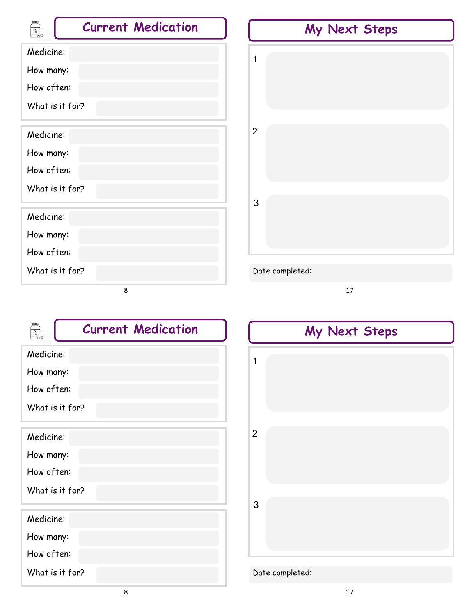| R <sub>a</sub><br><b>Current Medication</b> | My Next Steps   |
|---------------------------------------------|-----------------|
| Medicine:                                   | 1               |
| How many:                                   |                 |
| How often:                                  |                 |
| What is it for?                             |                 |
| Medicine:                                   | $\overline{2}$  |
| How many:                                   |                 |
| How often:                                  |                 |
| What is it for?                             |                 |
|                                             | $\mathfrak{S}$  |
| Medicine:                                   |                 |
| How many:                                   |                 |
| How often:                                  |                 |
| What is it for?                             | Date completed: |
| 8                                           | 17              |

| $\frac{R}{A}$   | <b>Current Medication</b> |
|-----------------|---------------------------|
| Medicine:       |                           |
| How many:       |                           |
| How often:      |                           |
| What is it for? |                           |
| Medicine:       |                           |
| How many:       |                           |
| How often:      |                           |
| What is it for? |                           |
| Medicine:       |                           |
| How many:       |                           |
| How often:      |                           |
| What is it for? |                           |

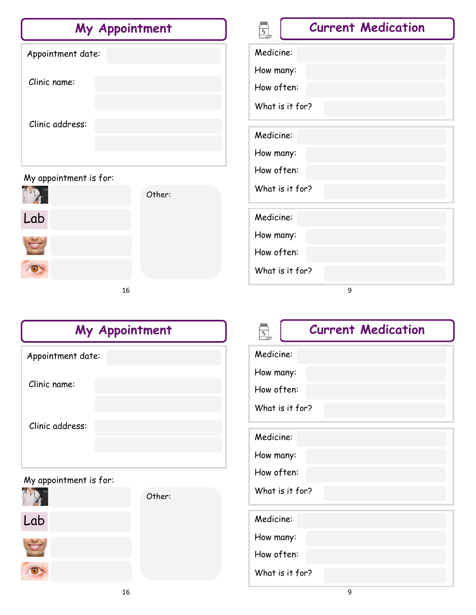| My Appointment         | <b>Current Medication</b><br>$\frac{R}{d}$ |
|------------------------|--------------------------------------------|
| Appointment date:      | Medicine:                                  |
|                        | How many:                                  |
| Clinic name:           | How often:                                 |
|                        | What is it for?                            |
| Clinic address:        | Medicine:                                  |
|                        | How many:                                  |
| My appointment is for: | How often:                                 |
| Other:                 | What is it for?                            |
| Lab                    | Medicine:                                  |
| <b>THERE</b>           | How many:                                  |
|                        | How often:                                 |
| $\bullet$              | What is it for?                            |
| 16                     | 9                                          |

| My Appointment    |  |  |  |
|-------------------|--|--|--|
| Appointment date: |  |  |  |
| Clinic name:      |  |  |  |
| Clinic address:   |  |  |  |
|                   |  |  |  |

## My appointment is for:





O

Other:

# $\begin{array}{c} \mathbb{R} \\ \hline \mathbb{R} \\ \hline \end{array}$

# **Current Medication**

Medicine:

How many:

How often:

What is it for?

Medicine:

How many:

How often:

What is it for?

Medicine:

How many:

How often:

What is it for?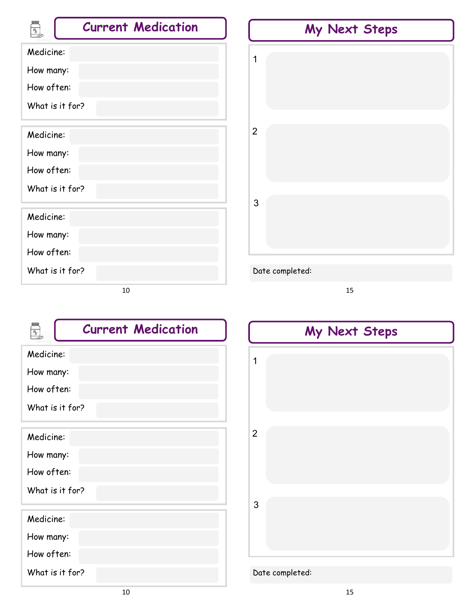| <b>E</b><br><b>Current Medication</b> | My Next Steps   |
|---------------------------------------|-----------------|
| Medicine:                             | 1               |
| How many:                             |                 |
| How often:                            |                 |
| What is it for?                       |                 |
| Medicine:                             | $\overline{2}$  |
| How many:                             |                 |
| How often:                            |                 |
| What is it for?                       |                 |
|                                       | $\mathfrak{S}$  |
| Medicine:                             |                 |
| How many:                             |                 |
| How often:                            |                 |
| What is it for?                       | Date completed: |
| 10                                    | 15              |

| $\frac{R}{c}$   | <b>Current Medication</b> |
|-----------------|---------------------------|
| Medicine:       |                           |
| How many:       |                           |
| How often:      |                           |
| What is it for? |                           |
| Medicine:       |                           |
| How many:       |                           |
| How often:      |                           |
| What is it for? |                           |
| Medicine:       |                           |
| How many:       |                           |
| How often:      |                           |
| What is it for? |                           |

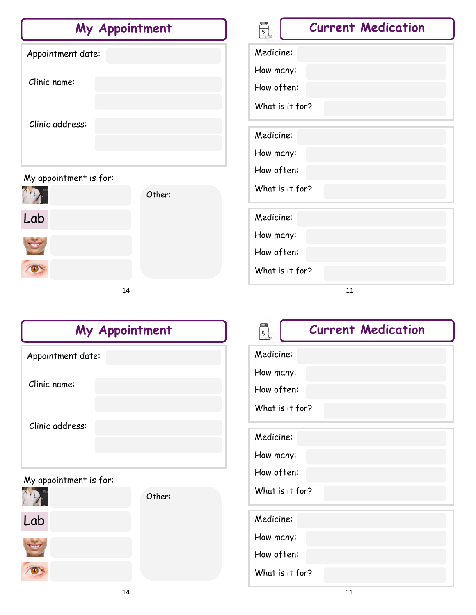| My Appointment         |        | <b>Current Medication</b><br>$\frac{R}{2}$ |
|------------------------|--------|--------------------------------------------|
| Appointment date:      |        | Medicine:                                  |
|                        |        | How many:                                  |
| Clinic name:           |        | How often:                                 |
|                        |        | What is it for?                            |
| Clinic address:        |        |                                            |
|                        |        | Medicine:                                  |
|                        |        | How many:                                  |
| My appointment is for: |        | How often:                                 |
|                        | Other: | What is it for?                            |
| Lab                    |        | Medicine:                                  |
|                        |        | How many:                                  |
|                        |        | How often:                                 |
| $\bullet$              |        | What is it for?                            |
| 14                     |        | 11                                         |

| My Appointment    |  |  |
|-------------------|--|--|
| Appointment date: |  |  |
| Clinic name:      |  |  |
| Clinic address:   |  |  |
|                   |  |  |

### My appointment is for:



Lab

O



# $\mathbb{R}$

# **Current Medication**

Medicine:

How many:

How often:

What is it for?

Medicine:

How many:

How often:

What is it for?

Medicine:

How many:

How often:

What is it for?